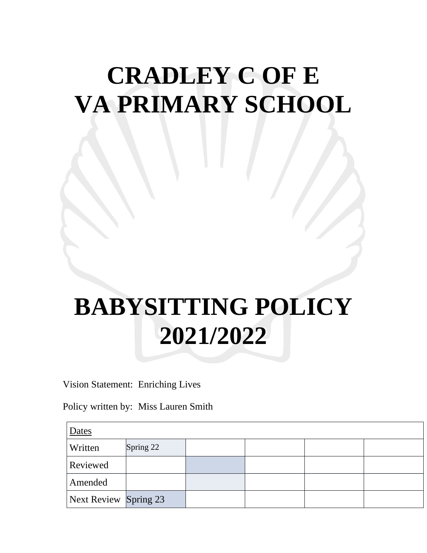## **CRADLEY C OF E VA PRIMARY SCHOOL**

## **BABYSITTING POLICY 2021/2022**

Vision Statement: Enriching Lives

Policy written by: Miss Lauren Smith

| Dates                 |           |  |  |  |  |
|-----------------------|-----------|--|--|--|--|
| Written               | Spring 22 |  |  |  |  |
| <b>Reviewed</b>       |           |  |  |  |  |
| Amended               |           |  |  |  |  |
| Next Review Spring 23 |           |  |  |  |  |